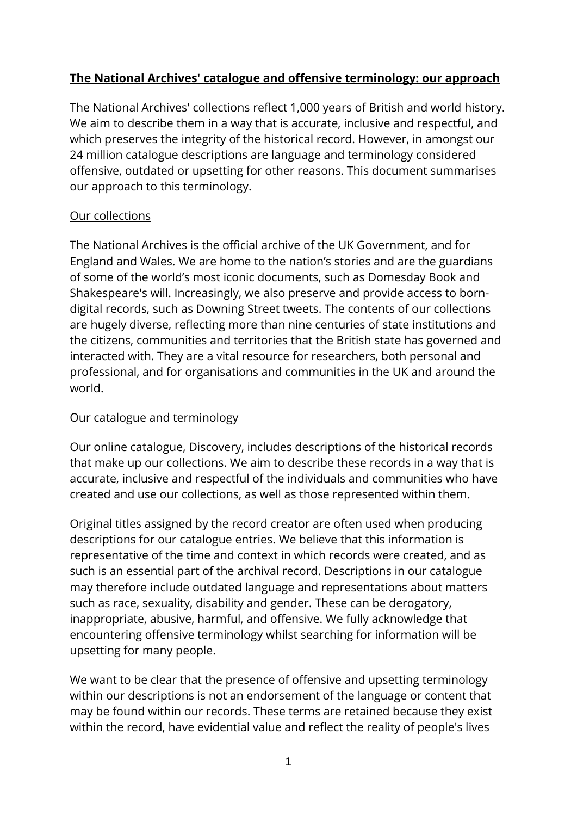# **The National Archives' catalogue and offensive terminology: our approach**

The National Archives' collections reflect 1,000 years of British and world history. We aim to describe them in a way that is accurate, inclusive and respectful, and which preserves the integrity of the historical record. However, in amongst our 24 million catalogue descriptions are language and terminology considered offensive, outdated or upsetting for other reasons. This document summarises our approach to this terminology.

## Our collections

The National Archives is the official archive of the UK Government, and for England and Wales. We are home to the nation's stories and are the guardians of some of the world's most iconic documents, such as Domesday Book and Shakespeare's will. Increasingly, we also preserve and provide access to borndigital records, such as Downing Street tweets. The contents of our collections are hugely diverse, reflecting more than nine centuries of state institutions and the citizens, communities and territories that the British state has governed and interacted with. They are a vital resource for researchers, both personal and professional, and for organisations and communities in the UK and around the world.

## Our catalogue and terminology

Our online catalogue, Discovery, includes descriptions of the historical records that make up our collections. We aim to describe these records in a way that is accurate, inclusive and respectful of the individuals and communities who have created and use our collections, as well as those represented within them.

Original titles assigned by the record creator are often used when producing descriptions for our catalogue entries. We believe that this information is representative of the time and context in which records were created, and as such is an essential part of the archival record. Descriptions in our catalogue may therefore include outdated language and representations about matters such as race, sexuality, disability and gender. These can be derogatory, inappropriate, abusive, harmful, and offensive. We fully acknowledge that encountering offensive terminology whilst searching for information will be upsetting for many people.

We want to be clear that the presence of offensive and upsetting terminology within our descriptions is not an endorsement of the language or content that may be found within our records. These terms are retained because they exist within the record, have evidential value and reflect the reality of people's lives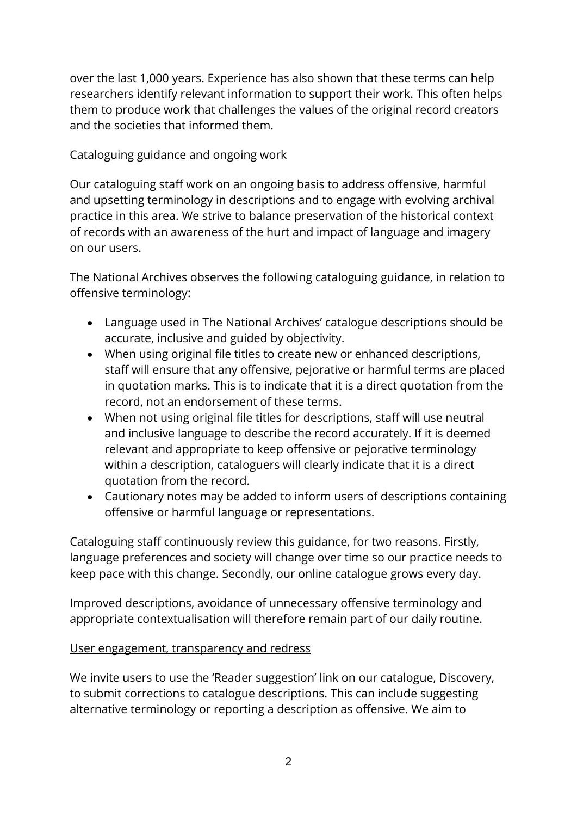over the last 1,000 years. Experience has also shown that these terms can help researchers identify relevant information to support their work. This often helps them to produce work that challenges the values of the original record creators and the societies that informed them.

## Cataloguing guidance and ongoing work

Our cataloguing staff work on an ongoing basis to address offensive, harmful and upsetting terminology in descriptions and to engage with evolving archival practice in this area. We strive to balance preservation of the historical context of records with an awareness of the hurt and impact of language and imagery on our users.

The National Archives observes the following cataloguing guidance, in relation to offensive terminology:

- Language used in The National Archives' catalogue descriptions should be accurate, inclusive and guided by objectivity.
- When using original file titles to create new or enhanced descriptions, staff will ensure that any offensive, pejorative or harmful terms are placed in quotation marks. This is to indicate that it is a direct quotation from the record, not an endorsement of these terms.
- When not using original file titles for descriptions, staff will use neutral and inclusive language to describe the record accurately. If it is deemed relevant and appropriate to keep offensive or pejorative terminology within a description, cataloguers will clearly indicate that it is a direct quotation from the record.
- Cautionary notes may be added to inform users of descriptions containing offensive or harmful language or representations.

Cataloguing staff continuously review this guidance, for two reasons. Firstly, language preferences and society will change over time so our practice needs to keep pace with this change. Secondly, our online catalogue grows every day.

Improved descriptions, avoidance of unnecessary offensive terminology and appropriate contextualisation will therefore remain part of our daily routine.

## User engagement, transparency and redress

We invite users to use the 'Reader suggestion' link on our catalogue, Discovery, to submit corrections to catalogue descriptions. This can include suggesting alternative terminology or reporting a description as offensive. We aim to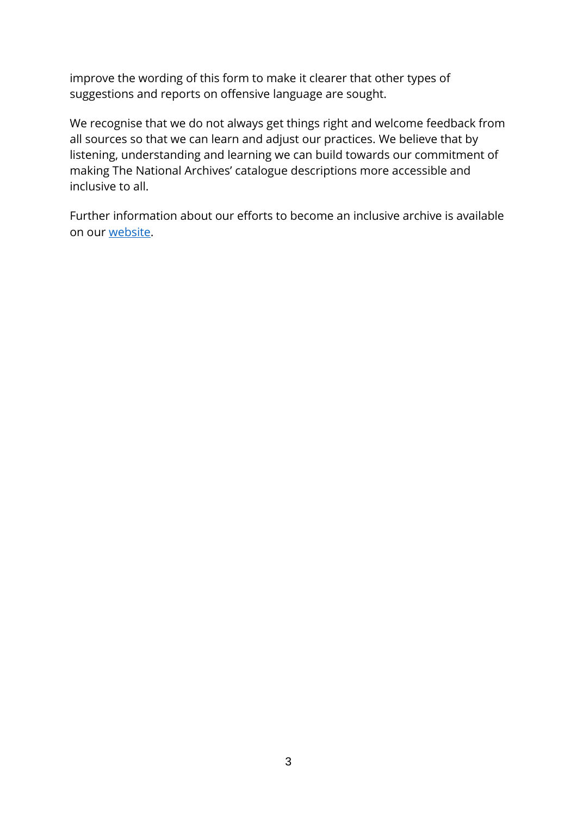improve the wording of this form to make it clearer that other types of suggestions and reports on offensive language are sought.

We recognise that we do not always get things right and welcome feedback from all sources so that we can learn and adjust our practices. We believe that by listening, understanding and learning we can build towards our commitment of making The National Archives' catalogue descriptions more accessible and inclusive to all.

Further information about our efforts to become an inclusive archive is available on our [website.](https://www.nationalarchives.gov.uk/about/news/becoming-the-inclusive-archive/)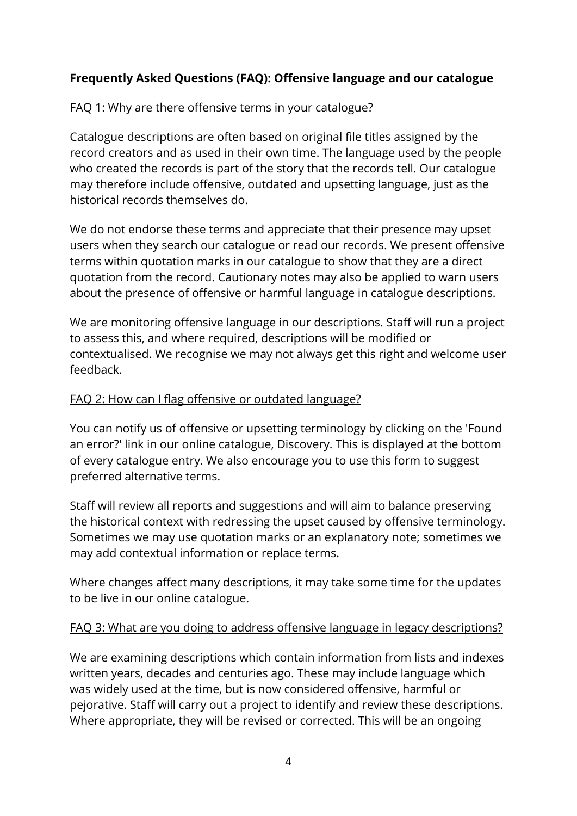# **Frequently Asked Questions (FAQ): Offensive language and our catalogue**

### FAQ 1: Why are there offensive terms in your catalogue?

Catalogue descriptions are often based on original file titles assigned by the record creators and as used in their own time. The language used by the people who created the records is part of the story that the records tell. Our catalogue may therefore include offensive, outdated and upsetting language, just as the historical records themselves do.

We do not endorse these terms and appreciate that their presence may upset users when they search our catalogue or read our records. We present offensive terms within quotation marks in our catalogue to show that they are a direct quotation from the record. Cautionary notes may also be applied to warn users about the presence of offensive or harmful language in catalogue descriptions.

We are monitoring offensive language in our descriptions. Staff will run a project to assess this, and where required, descriptions will be modified or contextualised. We recognise we may not always get this right and welcome user feedback.

### FAQ 2: How can I flag offensive or outdated language?

You can notify us of offensive or upsetting terminology by clicking on the 'Found an error?' link in our online catalogue, Discovery. This is displayed at the bottom of every catalogue entry. We also encourage you to use this form to suggest preferred alternative terms.

Staff will review all reports and suggestions and will aim to balance preserving the historical context with redressing the upset caused by offensive terminology. Sometimes we may use quotation marks or an explanatory note; sometimes we may add contextual information or replace terms.

Where changes affect many descriptions, it may take some time for the updates to be live in our online catalogue.

#### FAQ 3: What are you doing to address offensive language in legacy descriptions?

We are examining descriptions which contain information from lists and indexes written years, decades and centuries ago. These may include language which was widely used at the time, but is now considered offensive, harmful or pejorative. Staff will carry out a project to identify and review these descriptions. Where appropriate, they will be revised or corrected. This will be an ongoing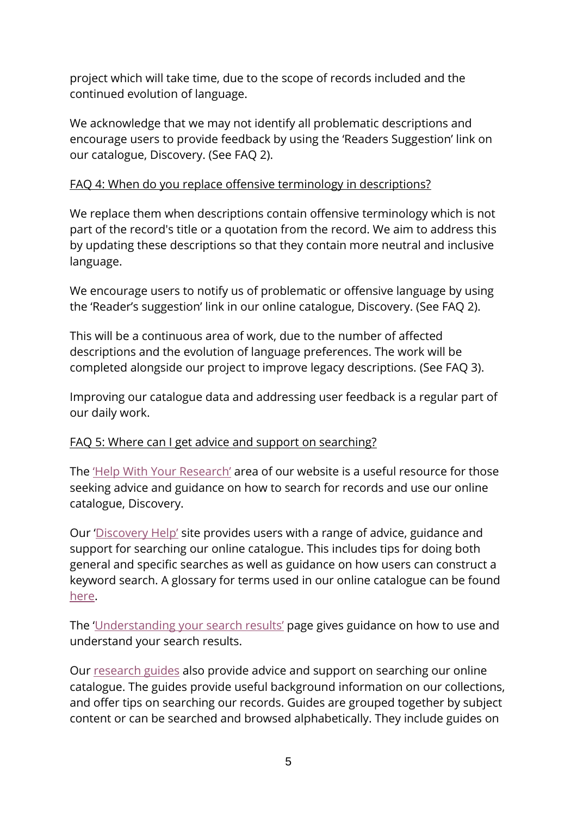project which will take time, due to the scope of records included and the continued evolution of language.

We acknowledge that we may not identify all problematic descriptions and encourage users to provide feedback by using the 'Readers Suggestion' link on our catalogue, Discovery. (See FAQ 2).

## FAQ 4: When do you replace offensive terminology in descriptions?

We replace them when descriptions contain offensive terminology which is not part of the record's title or a quotation from the record. We aim to address this by updating these descriptions so that they contain more neutral and inclusive language.

We encourage users to notify us of problematic or offensive language by using the 'Reader's suggestion' link in our online catalogue, Discovery. (See FAQ 2).

This will be a continuous area of work, due to the number of affected descriptions and the evolution of language preferences. The work will be completed alongside our project to improve legacy descriptions. (See FAQ 3).

Improving our catalogue data and addressing user feedback is a regular part of our daily work.

#### FAQ 5: Where can I get advice and support on searching?

The ['Help With Your Research'](https://www.nationalarchives.gov.uk/help-with-your-research/) area of our website is a useful resource for those seeking advice and guidance on how to search for records and use our online catalogue, Discovery.

Our ['Discovery Help'](https://www.nationalarchives.gov.uk/help-with-your-research/discovery-help/) site provides users with a range of advice, guidance and support for searching our online catalogue. This includes tips for doing both general and specific searches as well as guidance on how users can construct a keyword search. A glossary for terms used in our online catalogue can be found [here.](https://www.nationalarchives.gov.uk/help-with-your-research/discovery-help/glossary-for-discovery-our-catalogue/)

The ['Understanding your search results'](https://www.nationalarchives.gov.uk/help-with-your-research/discovery-help/understanding-your-search-results/) page gives guidance on how to use and understand your search results.

Our [research guides](https://www.nationalarchives.gov.uk/help-with-your-research/research-guides/) also provide advice and support on searching our online catalogue. The guides provide useful background information on our collections, and offer tips on searching our records. Guides are grouped together by subject content or can be searched and browsed alphabetically. They include guides on